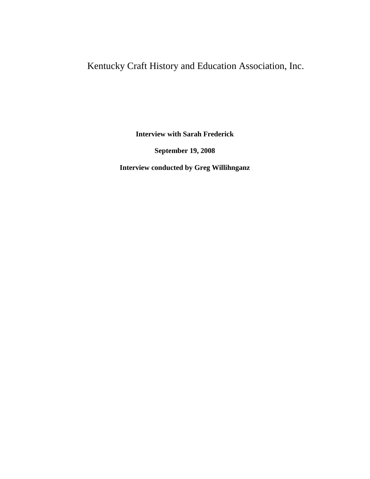# Kentucky Craft History and Education Association, Inc.

**Interview with Sarah Frederick**

**September 19, 2008**

**Interview conducted by Greg Willihnganz**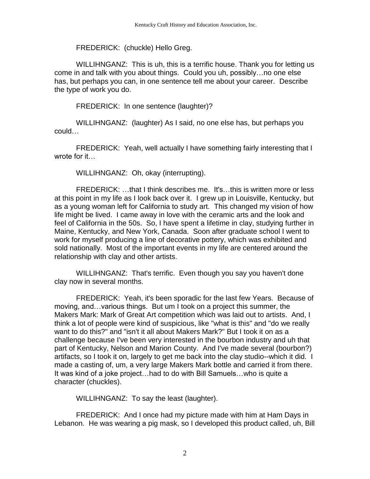# FREDERICK: (chuckle) Hello Greg.

WILLIHNGANZ: This is uh, this is a terrific house. Thank you for letting us come in and talk with you about things. Could you uh, possibly…no one else has, but perhaps you can, in one sentence tell me about your career. Describe the type of work you do.

FREDERICK: In one sentence (laughter)?

WILLIHNGANZ: (laughter) As I said, no one else has, but perhaps you could…

FREDERICK: Yeah, well actually I have something fairly interesting that I wrote for it…

WILLIHNGANZ: Oh, okay (interrupting).

FREDERICK: …that I think describes me. It's…this is written more or less at this point in my life as I look back over it. I grew up in Louisville, Kentucky, but as a young woman left for California to study art. This changed my vision of how life might be lived. I came away in love with the ceramic arts and the look and feel of California in the 50s. So, I have spent a lifetime in clay, studying further in Maine, Kentucky, and New York, Canada. Soon after graduate school I went to work for myself producing a line of decorative pottery, which was exhibited and sold nationally. Most of the important events in my life are centered around the relationship with clay and other artists.

WILLIHNGANZ: That's terrific. Even though you say you haven't done clay now in several months.

FREDERICK: Yeah, it's been sporadic for the last few Years. Because of moving, and…various things. But um I took on a project this summer, the Makers Mark: Mark of Great Art competition which was laid out to artists. And, I think a lot of people were kind of suspicious, like "what is this" and "do we really want to do this?" and "isn't it all about Makers Mark?" But I took it on as a challenge because I've been very interested in the bourbon industry and uh that part of Kentucky, Nelson and Marion County. And I've made several (bourbon?) artifacts, so I took it on, largely to get me back into the clay studio--which it did. I made a casting of, um, a very large Makers Mark bottle and carried it from there. It was kind of a joke project…had to do with Bill Samuels…who is quite a character (chuckles).

WILLIHNGANZ: To say the least (laughter).

FREDERICK: And I once had my picture made with him at Ham Days in Lebanon. He was wearing a pig mask, so I developed this product called, uh, Bill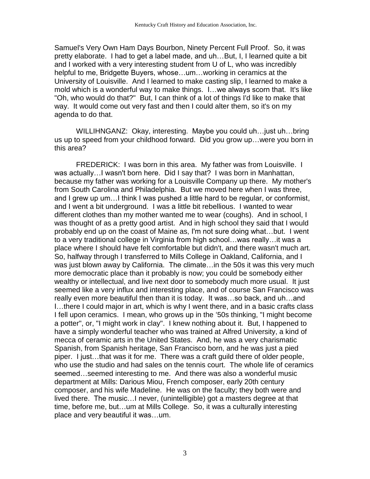Samuel's Very Own Ham Days Bourbon, Ninety Percent Full Proof. So, it was pretty elaborate. I had to get a label made, and uh…But, I, I learned quite a bit and I worked with a very interesting student from U of L, who was incredibly helpful to me, Bridgette Buyers, whose…um…working in ceramics at the University of Louisville. And I learned to make casting slip, I learned to make a mold which is a wonderful way to make things. I…we always scorn that. It's like "Oh, who would do that?" But, I can think of a lot of things I'd like to make that way. It would come out very fast and then I could alter them, so it's on my agenda to do that.

WILLIHNGANZ: Okay, interesting. Maybe you could uh…just uh…bring us up to speed from your childhood forward. Did you grow up…were you born in this area?

FREDERICK: I was born in this area. My father was from Louisville. I was actually…I wasn't born here. Did I say that? I was born in Manhattan, because my father was working for a Louisville Company up there. My mother's from South Carolina and Philadelphia. But we moved here when I was three, and I grew up um…I think I was pushed a little hard to be regular, or conformist, and I went a bit underground. I was a little bit rebellious. I wanted to wear different clothes than my mother wanted me to wear (coughs). And in school, I was thought of as a pretty good artist. And in high school they said that I would probably end up on the coast of Maine as, I'm not sure doing what…but. I went to a very traditional college in Virginia from high school…was really…it was a place where I should have felt comfortable but didn't, and there wasn't much art. So, halfway through I transferred to Mills College in Oakland, California, and I was just blown away by California. The climate... in the 50s it was this very much more democratic place than it probably is now; you could be somebody either wealthy or intellectual, and live next door to somebody much more usual. It just seemed like a very influx and interesting place, and of course San Francisco was really even more beautiful then than it is today. It was…so back, and uh…and I…there I could major in art, which is why I went there, and in a basic crafts class I fell upon ceramics. I mean, who grows up in the '50s thinking, "I might become a potter", or, "I might work in clay". I knew nothing about it. But, I happened to have a simply wonderful teacher who was trained at Alfred University, a kind of mecca of ceramic arts in the United States. And, he was a very charismatic Spanish, from Spanish heritage, San Francisco born, and he was just a pied piper. I just…that was it for me. There was a craft guild there of older people, who use the studio and had sales on the tennis court. The whole life of ceramics seemed…seemed interesting to me. And there was also a wonderful music department at Mills: Darious Miou, French composer, early 20th century composer, and his wife Madeline. He was on the faculty; they both were and lived there. The music…I never, (unintelligible) got a masters degree at that time, before me, but…um at Mills College. So, it was a culturally interesting place and very beautiful it was…um.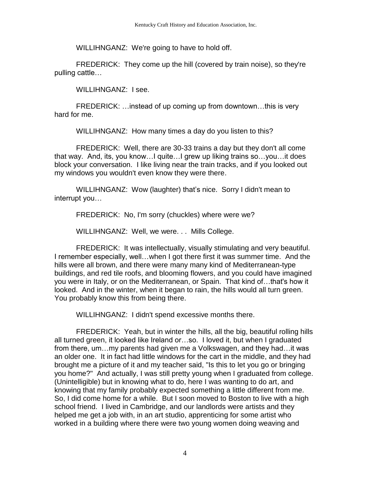WILLIHNGANZ: We're going to have to hold off.

FREDERICK: They come up the hill (covered by train noise), so they're pulling cattle…

WILLIHNGANZ: I see.

FREDERICK: …instead of up coming up from downtown…this is very hard for me.

WILLIHNGANZ: How many times a day do you listen to this?

FREDERICK: Well, there are 30-33 trains a day but they don't all come that way. And, its, you know…I quite…I grew up liking trains so…you…it does block your conversation. I like living near the train tracks, and if you looked out my windows you wouldn't even know they were there.

WILLIHNGANZ: Wow (laughter) that's nice. Sorry I didn't mean to interrupt you…

FREDERICK: No, I'm sorry (chuckles) where were we?

WILLIHNGANZ: Well, we were. . . Mills College.

FREDERICK: It was intellectually, visually stimulating and very beautiful. I remember especially, well…when I got there first it was summer time. And the hills were all brown, and there were many many kind of Mediterranean-type buildings, and red tile roofs, and blooming flowers, and you could have imagined you were in Italy, or on the Mediterranean, or Spain. That kind of…that's how it looked. And in the winter, when it began to rain, the hills would all turn green. You probably know this from being there.

WILLIHNGANZ: I didn't spend excessive months there.

FREDERICK: Yeah, but in winter the hills, all the big, beautiful rolling hills all turned green, it looked like Ireland or…so. I loved it, but when I graduated from there, um…my parents had given me a Volkswagen, and they had…it was an older one. It in fact had little windows for the cart in the middle, and they had brought me a picture of it and my teacher said, "Is this to let you go or bringing you home?" And actually, I was still pretty young when I graduated from college. (Unintelligible) but in knowing what to do, here I was wanting to do art, and knowing that my family probably expected something a little different from me. So, I did come home for a while. But I soon moved to Boston to live with a high school friend. I lived in Cambridge, and our landlords were artists and they helped me get a job with, in an art studio, apprenticing for some artist who worked in a building where there were two young women doing weaving and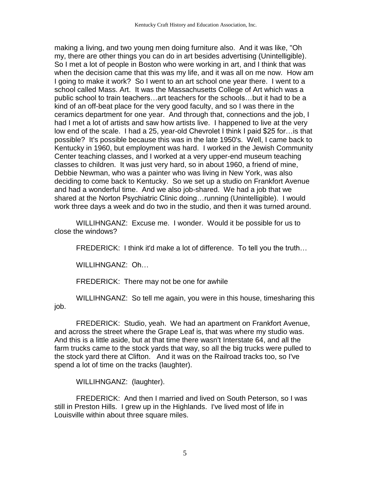making a living, and two young men doing furniture also. And it was like, "Oh my, there are other things you can do in art besides advertising (Unintelligible). So I met a lot of people in Boston who were working in art, and I think that was when the decision came that this was my life, and it was all on me now. How am I going to make it work? So I went to an art school one year there. I went to a school called Mass. Art. It was the Massachusetts College of Art which was a public school to train teachers…art teachers for the schools…but it had to be a kind of an off-beat place for the very good faculty, and so I was there in the ceramics department for one year. And through that, connections and the job, I had I met a lot of artists and saw how artists live. I happened to live at the very low end of the scale. I had a 25, year-old Chevrolet I think I paid \$25 for…is that possible? It's possible because this was in the late 1950's. Well, I came back to Kentucky in 1960, but employment was hard. I worked in the Jewish Community Center teaching classes, and I worked at a very upper-end museum teaching classes to children. It was just very hard, so in about 1960, a friend of mine, Debbie Newman, who was a painter who was living in New York, was also deciding to come back to Kentucky. So we set up a studio on Frankfort Avenue and had a wonderful time. And we also job-shared. We had a job that we shared at the Norton Psychiatric Clinic doing…running (Unintelligible). I would work three days a week and do two in the studio, and then it was turned around.

WILLIHNGANZ: Excuse me. I wonder. Would it be possible for us to close the windows?

FREDERICK: I think it'd make a lot of difference. To tell you the truth…

WILLIHNGANZ: Oh…

FREDERICK: There may not be one for awhile

WILLIHNGANZ: So tell me again, you were in this house, timesharing this job.

FREDERICK: Studio, yeah. We had an apartment on Frankfort Avenue, and across the street where the Grape Leaf is, that was where my studio was. And this is a little aside, but at that time there wasn't Interstate 64, and all the farm trucks came to the stock yards that way, so all the big trucks were pulled to the stock yard there at Clifton. And it was on the Railroad tracks too, so I've spend a lot of time on the tracks (laughter).

WILLIHNGANZ: (laughter).

FREDERICK: And then I married and lived on South Peterson, so I was still in Preston Hills. I grew up in the Highlands. I've lived most of life in Louisville within about three square miles.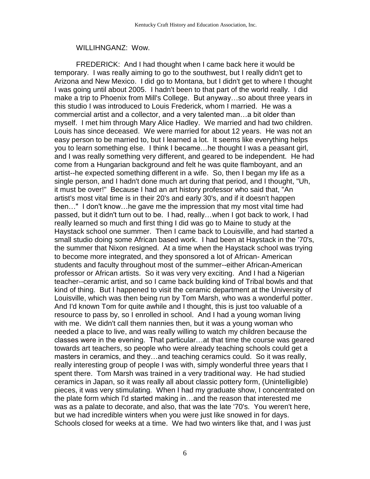#### WILLIHNGANZ: Wow.

FREDERICK: And I had thought when I came back here it would be temporary. I was really aiming to go to the southwest, but I really didn't get to Arizona and New Mexico. I did go to Montana, but I didn't get to where I thought I was going until about 2005. I hadn't been to that part of the world really. I did make a trip to Phoenix from Mill's College. But anyway…so about three years in this studio I was introduced to Louis Frederick, whom I married. He was a commercial artist and a collector, and a very talented man…a bit older than myself. I met him through Mary Alice Hadley. We married and had two children. Louis has since deceased. We were married for about 12 years. He was not an easy person to be married to, but I learned a lot. It seems like everything helps you to learn something else. I think I became…he thought I was a peasant girl, and I was really something very different, and geared to be independent. He had come from a Hungarian background and felt he was quite flamboyant, and an artist--he expected something different in a wife. So, then I began my life as a single person, and I hadn't done much art during that period, and I thought, "Uh, it must be over!" Because I had an art history professor who said that, "An artist's most vital time is in their 20's and early 30's, and if it doesn't happen then…" I don't know…he gave me the impression that my most vital time had passed, but it didn't turn out to be. I had, really…when I got back to work, I had really learned so much and first thing I did was go to Maine to study at the Haystack school one summer. Then I came back to Louisville, and had started a small studio doing some African based work. I had been at Haystack in the '70's, the summer that Nixon resigned. At a time when the Haystack school was trying to become more integrated, and they sponsored a lot of African- American students and faculty throughout most of the summer--either African-American professor or African artists. So it was very very exciting. And I had a Nigerian teacher--ceramic artist, and so I came back building kind of Tribal bowls and that kind of thing. But I happened to visit the ceramic department at the University of Louisville, which was then being run by Tom Marsh, who was a wonderful potter. And I'd known Tom for quite awhile and I thought, this is just too valuable of a resource to pass by, so I enrolled in school. And I had a young woman living with me. We didn't call them nannies then, but it was a young woman who needed a place to live, and was really willing to watch my children because the classes were in the evening. That particular…at that time the course was geared towards art teachers, so people who were already teaching schools could get a masters in ceramics, and they…and teaching ceramics could. So it was really, really interesting group of people I was with, simply wonderful three years that I spent there. Tom Marsh was trained in a very traditional way. He had studied ceramics in Japan, so it was really all about classic pottery form, (Unintelligible) pieces, it was very stimulating. When I had my graduate show, I concentrated on the plate form which I'd started making in…and the reason that interested me was as a palate to decorate, and also, that was the late '70's. You weren't here, but we had incredible winters when you were just like snowed in for days. Schools closed for weeks at a time. We had two winters like that, and I was just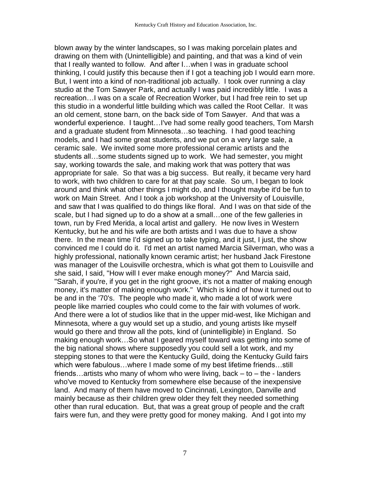blown away by the winter landscapes, so I was making porcelain plates and drawing on them with (Unintelligible) and painting, and that was a kind of vein that I really wanted to follow. And after I…when I was in graduate school thinking, I could justify this because then if I got a teaching job I would earn more. But, I went into a kind of non-traditional job actually. I took over running a clay studio at the Tom Sawyer Park, and actually I was paid incredibly little. I was a recreation…I was on a scale of Recreation Worker, but I had free rein to set up this studio in a wonderful little building which was called the Root Cellar. It was an old cement, stone barn, on the back side of Tom Sawyer. And that was a wonderful experience. I taught…I've had some really good teachers, Tom Marsh and a graduate student from Minnesota…so teaching. I had good teaching models, and I had some great students, and we put on a very large sale, a ceramic sale. We invited some more professional ceramic artists and the students all…some students signed up to work. We had semester, you might say, working towards the sale, and making work that was pottery that was appropriate for sale. So that was a big success. But really, it became very hard to work, with two children to care for at that pay scale. So um, I began to look around and think what other things I might do, and I thought maybe it'd be fun to work on Main Street. And I took a job workshop at the University of Louisville, and saw that I was qualified to do things like floral. And I was on that side of the scale, but I had signed up to do a show at a small…one of the few galleries in town, run by Fred Merida, a local artist and gallery. He now lives in Western Kentucky, but he and his wife are both artists and I was due to have a show there. In the mean time I'd signed up to take typing, and it just, I just, the show convinced me I could do it. I'd met an artist named Marcia Silverman, who was a highly professional, nationally known ceramic artist; her husband Jack Firestone was manager of the Louisville orchestra, which is what got them to Louisville and she said, I said, "How will I ever make enough money?" And Marcia said, "Sarah, if you're, if you get in the right groove, it's not a matter of making enough money, it's matter of making enough work." Which is kind of how it turned out to be and in the '70's. The people who made it, who made a lot of work were people like married couples who could come to the fair with volumes of work. And there were a lot of studios like that in the upper mid-west, like Michigan and Minnesota, where a guy would set up a studio, and young artists like myself would go there and throw all the pots, kind of (unintelligible) in England. So making enough work…So what I geared myself toward was getting into some of the big national shows where supposedly you could sell a lot work, and my stepping stones to that were the Kentucky Guild, doing the Kentucky Guild fairs which were fabulous…where I made some of my best lifetime friends…still friends...artists who many of whom who were living, back  $-$  to  $-$  the - landers who've moved to Kentucky from somewhere else because of the inexpensive land. And many of them have moved to Cincinnati, Lexington, Danville and mainly because as their children grew older they felt they needed something other than rural education. But, that was a great group of people and the craft fairs were fun, and they were pretty good for money making. And I got into my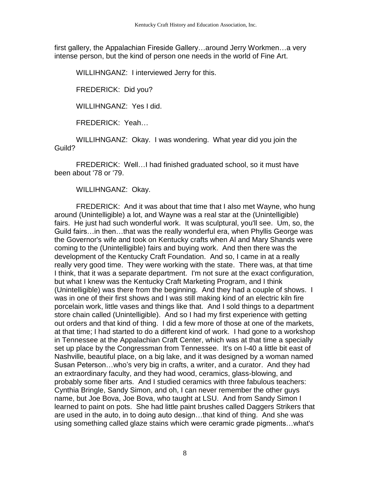first gallery, the Appalachian Fireside Gallery…around Jerry Workmen…a very intense person, but the kind of person one needs in the world of Fine Art.

WILLIHNGANZ: I interviewed Jerry for this.

FREDERICK: Did you?

WILLIHNGANZ: Yes I did.

FREDERICK: Yeah…

WILLIHNGANZ: Okay. I was wondering. What year did you join the Guild?

FREDERICK: Well…I had finished graduated school, so it must have been about '78 or '79.

WILLIHNGANZ: Okay.

FREDERICK: And it was about that time that I also met Wayne, who hung around (Unintelligible) a lot, and Wayne was a real star at the (Unintelligible) fairs. He just had such wonderful work. It was sculptural, you'll see. Um, so, the Guild fairs…in then…that was the really wonderful era, when Phyllis George was the Governor's wife and took on Kentucky crafts when Al and Mary Shands were coming to the (Unintelligible) fairs and buying work. And then there was the development of the Kentucky Craft Foundation. And so, I came in at a really really very good time. They were working with the state. There was, at that time I think, that it was a separate department. I'm not sure at the exact configuration, but what I knew was the Kentucky Craft Marketing Program, and I think (Unintelligible) was there from the beginning. And they had a couple of shows. I was in one of their first shows and I was still making kind of an electric kiln fire porcelain work, little vases and things like that. And I sold things to a department store chain called (Unintelligible). And so I had my first experience with getting out orders and that kind of thing. I did a few more of those at one of the markets, at that time; I had started to do a different kind of work. I had gone to a workshop in Tennessee at the Appalachian Craft Center, which was at that time a specially set up place by the Congressman from Tennessee. It's on I-40 a little bit east of Nashville, beautiful place, on a big lake, and it was designed by a woman named Susan Peterson…who's very big in crafts, a writer, and a curator. And they had an extraordinary faculty, and they had wood, ceramics, glass-blowing, and probably some fiber arts. And I studied ceramics with three fabulous teachers: Cynthia Bringle, Sandy Simon, and oh, I can never remember the other guys name, but Joe Bova, Joe Bova, who taught at LSU. And from Sandy Simon I learned to paint on pots. She had little paint brushes called Daggers Strikers that are used in the auto, in to doing auto design…that kind of thing. And she was using something called glaze stains which were ceramic grade pigments…what's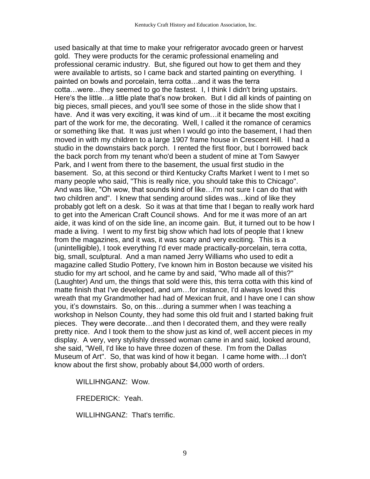used basically at that time to make your refrigerator avocado green or harvest gold. They were products for the ceramic professional enameling and professional ceramic industry. But, she figured out how to get them and they were available to artists, so I came back and started painting on everything. I painted on bowls and porcelain, terra cotta…and it was the terra cotta…were…they seemed to go the fastest. I, I think I didn't bring upstairs. Here's the little…a little plate that's now broken. But I did all kinds of painting on big pieces, small pieces, and you'll see some of those in the slide show that I have. And it was very exciting, it was kind of um...it it became the most exciting part of the work for me, the decorating. Well, I called it the romance of ceramics or something like that. It was just when I would go into the basement, I had then moved in with my children to a large 1907 frame house in Crescent Hill. I had a studio in the downstairs back porch. I rented the first floor, but I borrowed back the back porch from my tenant who'd been a student of mine at Tom Sawyer Park, and I went from there to the basement, the usual first studio in the basement. So, at this second or third Kentucky Crafts Market I went to I met so many people who said, "This is really nice, you should take this to Chicago". And was like, "Oh wow, that sounds kind of like…I'm not sure I can do that with two children and". I knew that sending around slides was…kind of like they probably got left on a desk. So it was at that time that I began to really work hard to get into the American Craft Council shows. And for me it was more of an art aide, it was kind of on the side line, an income gain. But, it turned out to be how I made a living. I went to my first big show which had lots of people that I knew from the magazines, and it was, it was scary and very exciting. This is a (unintelligible), I took everything I'd ever made practically-porcelain, terra cotta, big, small, sculptural. And a man named Jerry Williams who used to edit a magazine called Studio Pottery, I've known him in Boston because we visited his studio for my art school, and he came by and said, "Who made all of this?" (Laughter) And um, the things that sold were this, this terra cotta with this kind of matte finish that I've developed, and um…for instance, I'd always loved this wreath that my Grandmother had had of Mexican fruit, and I have one I can show you, it's downstairs. So, on this…during a summer when I was teaching a workshop in Nelson County, they had some this old fruit and I started baking fruit pieces. They were decorate…and then I decorated them, and they were really pretty nice. And I took them to the show just as kind of, well accent pieces in my display. A very, very stylishly dressed woman came in and said, looked around, she said, "Well, I'd like to have three dozen of these. I'm from the Dallas Museum of Art". So, that was kind of how it began. I came home with…I don't know about the first show, probably about \$4,000 worth of orders.

WILLIHNGANZ: Wow.

FREDERICK: Yeah.

WILLIHNGANZ: That's terrific.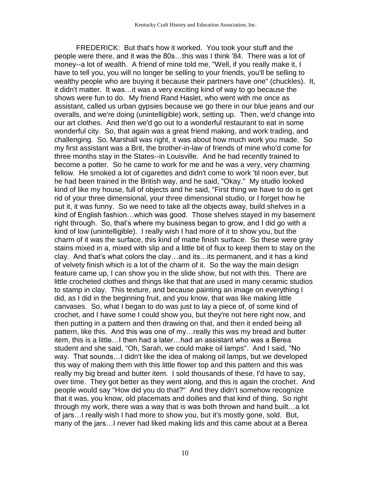FREDERICK: But that's how it worked. You took your stuff and the people were there, and it was the 80s…this was I think '84. There was a lot of money--a lot of wealth. A friend of mine told me, "Well, if you really make it, I have to tell you, you will no longer be selling to your friends, you'll be selling to wealthy people who are buying it because their partners have one" (chuckles). It, it didn't matter. It was…it was a very exciting kind of way to go because the shows were fun to do. My friend Rand Haslet, who went with me once as assistant, called us urban gypsies because we go there in our blue jeans and our overalls, and we're doing (unintelligible) work, setting up. Then, we'd change into our art clothes. And then we'd go out to a wonderful restaurant to eat in some wonderful city. So, that again was a great friend making, and work trading, and challenging. So, Marshall was right, it was about how much work you made. So my first assistant was a Brit, the brother-in-law of friends of mine who'd come for three months stay in the States--in Louisville. And he had recently trained to become a potter. So he came to work for me and he was a very, very charming fellow. He smoked a lot of cigarettes and didn't come to work 'til noon ever, but he had been trained in the British way, and he said, "Okay." My studio looked kind of like my house, full of objects and he said, "First thing we have to do is get rid of your three dimensional, your three dimensional studio, or I forget how he put it, it was funny. So we need to take all the objects away, build shelves in a kind of English fashion…which was good. Those shelves stayed in my basement right through. So, that's where my business began to grow, and I did go with a kind of low (unintelligible). I really wish I had more of it to show you, but the charm of it was the surface, this kind of matte finish surface. So these were gray stains mixed in a, mixed with slip and a little bit of flux to keep them to stay on the clay. And that's what colors the clay…and its…its permanent, and it has a kind of velvety finish which is a lot of the charm of it. So the way the main design feature came up, I can show you in the slide show, but not with this. There are little crocheted clothes and things like that that are used in many ceramic studios to stamp in clay. This texture, and because painting an image on everything I did, as I did in the beginning fruit, and you know, that was like making little canvases. So, what I began to do was just to lay a piece of, of some kind of crochet, and I have some I could show you, but they're not here right now, and then putting in a pattern and then drawing on that, and then it ended being all pattern, like this. And this was one of my…really this was my bread and butter item, this is a little…I then had a later…had an assistant who was a Berea student and she said, "Oh, Sarah, we could make oil lamps". And I said, "No way. That sounds…I didn't like the idea of making oil lamps, but we developed this way of making them with this little flower top and this pattern and this was really my big bread and butter item. I sold thousands of these, I'd have to say, over time. They got better as they went along, and this is again the crochet. And people would say "How did you do that?" And they didn't somehow recognize that it was, you know, old placemats and doilies and that kind of thing. So right through my work, there was a way that is was both thrown and hand built…a lot of jars…I really wish I had more to show you, but it's mostly gone, sold. But, many of the jars…I never had liked making lids and this came about at a Berea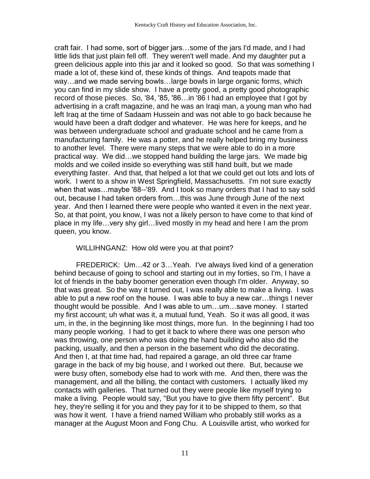craft fair. I had some, sort of bigger jars…some of the jars I'd made, and I had little lids that just plain fell off. They weren't well made. And my daughter put a green delicious apple into this jar and it looked so good. So that was something I made a lot of, these kind of, these kinds of things. And teapots made that way…and we made serving bowls…large bowls in large organic forms, which you can find in my slide show. I have a pretty good, a pretty good photographic record of those pieces. So, '84, '85, '86…in '86 I had an employee that I got by advertising in a craft magazine, and he was an Iraqi man, a young man who had left Iraq at the time of Sadaam Hussein and was not able to go back because he would have been a draft dodger and whatever. He was here for keeps, and he was between undergraduate school and graduate school and he came from a manufacturing family. He was a potter, and he really helped bring my business to another level. There were many steps that we were able to do in a more practical way. We did…we stopped hand building the large jars. We made big molds and we coiled inside so everything was still hand built, but we made everything faster. And that, that helped a lot that we could get out lots and lots of work. I went to a show in West Springfield, Massachusetts. I'm not sure exactly when that was…maybe '88--'89. And I took so many orders that I had to say sold out, because I had taken orders from…this was June through June of the next year. And then I learned there were people who wanted it even in the next year. So, at that point, you know, I was not a likely person to have come to that kind of place in my life…very shy girl…lived mostly in my head and here I am the prom queen, you know.

WILLIHNGANZ: How old were you at that point?

FREDERICK: Um…42 or 3…Yeah. I've always lived kind of a generation behind because of going to school and starting out in my forties, so I'm, I have a lot of friends in the baby boomer generation even though I'm older. Anyway, so that was great. So the way it turned out, I was really able to make a living. I was able to put a new roof on the house. I was able to buy a new car…things I never thought would be possible. And I was able to um…um…save money. I started my first account; uh what was it, a mutual fund, Yeah. So it was all good, it was um, in the, in the beginning like most things, more fun. In the beginning I had too many people working. I had to get it back to where there was one person who was throwing, one person who was doing the hand building who also did the packing, usually, and then a person in the basement who did the decorating. And then I, at that time had, had repaired a garage, an old three car frame garage in the back of my big house, and I worked out there. But, because we were busy often, somebody else had to work with me. And then, there was the management, and all the billing, the contact with customers. I actually liked my contacts with galleries. That turned out they were people like myself trying to make a living. People would say, "But you have to give them fifty percent". But hey, they're selling it for you and they pay for it to be shipped to them, so that was how it went. I have a friend named William who probably still works as a manager at the August Moon and Fong Chu. A Louisville artist, who worked for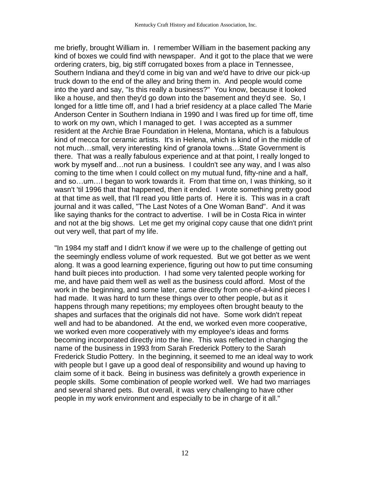me briefly, brought William in. I remember William in the basement packing any kind of boxes we could find with newspaper. And it got to the place that we were ordering craters, big, big stiff corrugated boxes from a place in Tennessee, Southern Indiana and they'd come in big van and we'd have to drive our pick-up truck down to the end of the alley and bring them in. And people would come into the yard and say, "Is this really a business?" You know, because it looked like a house, and then they'd go down into the basement and they'd see. So, I longed for a little time off, and I had a brief residency at a place called The Marie Anderson Center in Southern Indiana in 1990 and I was fired up for time off, time to work on my own, which I managed to get. I was accepted as a summer resident at the Archie Brae Foundation in Helena, Montana, which is a fabulous kind of mecca for ceramic artists. It's in Helena, which is kind of in the middle of not much…small, very interesting kind of granola towns…State Government is there. That was a really fabulous experience and at that point, I really longed to work by myself and…not run a business. I couldn't see any way, and I was also coming to the time when I could collect on my mutual fund, fifty-nine and a half, and so…um…I began to work towards it. From that time on, I was thinking, so it wasn't 'til 1996 that that happened, then it ended. I wrote something pretty good at that time as well, that I'll read you little parts of. Here it is. This was in a craft journal and it was called, "The Last Notes of a One Woman Band". And it was like saying thanks for the contract to advertise. I will be in Costa Rica in winter and not at the big shows. Let me get my original copy cause that one didn't print out very well, that part of my life.

"In 1984 my staff and I didn't know if we were up to the challenge of getting out the seemingly endless volume of work requested. But we got better as we went along. It was a good learning experience, figuring out how to put time consuming hand built pieces into production. I had some very talented people working for me, and have paid them well as well as the business could afford. Most of the work in the beginning, and some later, came directly from one-of-a-kind pieces I had made. It was hard to turn these things over to other people, but as it happens through many repetitions; my employees often brought beauty to the shapes and surfaces that the originals did not have. Some work didn't repeat well and had to be abandoned. At the end, we worked even more cooperative, we worked even more cooperatively with my employee's ideas and forms becoming incorporated directly into the line. This was reflected in changing the name of the business in 1993 from Sarah Frederick Pottery to the Sarah Frederick Studio Pottery. In the beginning, it seemed to me an ideal way to work with people but I gave up a good deal of responsibility and wound up having to claim some of it back. Being in business was definitely a growth experience in people skills. Some combination of people worked well. We had two marriages and several shared pets. But overall, it was very challenging to have other people in my work environment and especially to be in charge of it all."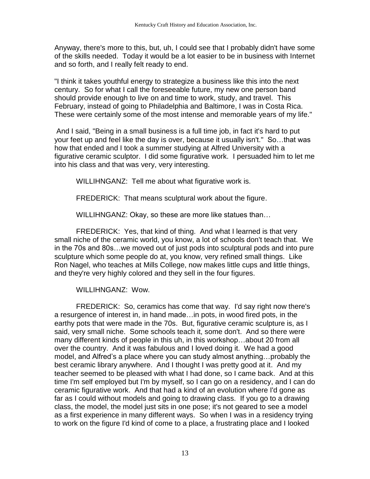Anyway, there's more to this, but, uh, I could see that I probably didn't have some of the skills needed. Today it would be a lot easier to be in business with Internet and so forth, and I really felt ready to end.

"I think it takes youthful energy to strategize a business like this into the next century. So for what I call the foreseeable future, my new one person band should provide enough to live on and time to work, study, and travel. This February, instead of going to Philadelphia and Baltimore, I was in Costa Rica. These were certainly some of the most intense and memorable years of my life."

And I said, "Being in a small business is a full time job, in fact it's hard to put your feet up and feel like the day is over, because it usually isn't." So…that was how that ended and I took a summer studying at Alfred University with a figurative ceramic sculptor. I did some figurative work. I persuaded him to let me into his class and that was very, very interesting.

WILLIHNGANZ: Tell me about what figurative work is.

FREDERICK: That means sculptural work about the figure.

WILLIHNGANZ: Okay, so these are more like statues than…

FREDERICK: Yes, that kind of thing. And what I learned is that very small niche of the ceramic world, you know, a lot of schools don't teach that. We in the 70s and 80s…we moved out of just pods into sculptural pods and into pure sculpture which some people do at, you know, very refined small things. Like Ron Nagel, who teaches at Mills College, now makes little cups and little things, and they're very highly colored and they sell in the four figures.

WILLIHNGANZ: Wow.

FREDERICK: So, ceramics has come that way. I'd say right now there's a resurgence of interest in, in hand made…in pots, in wood fired pots, in the earthy pots that were made in the 70s. But, figurative ceramic sculpture is, as I said, very small niche. Some schools teach it, some don't. And so there were many different kinds of people in this uh, in this workshop…about 20 from all over the country. And it was fabulous and I loved doing it. We had a good model, and Alfred's a place where you can study almost anything…probably the best ceramic library anywhere. And I thought I was pretty good at it. And my teacher seemed to be pleased with what I had done, so I came back. And at this time I'm self employed but I'm by myself, so I can go on a residency, and I can do ceramic figurative work. And that had a kind of an evolution where I'd gone as far as I could without models and going to drawing class. If you go to a drawing class, the model, the model just sits in one pose; it's not geared to see a model as a first experience in many different ways. So when I was in a residency trying to work on the figure I'd kind of come to a place, a frustrating place and I looked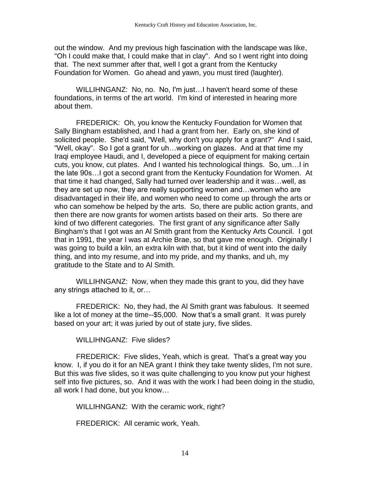out the window. And my previous high fascination with the landscape was like, "Oh I could make that, I could make that in clay". And so I went right into doing that. The next summer after that, well I got a grant from the Kentucky Foundation for Women. Go ahead and yawn, you must tired (laughter).

WILLIHNGANZ: No, no. No, I'm just…I haven't heard some of these foundations, in terms of the art world. I'm kind of interested in hearing more about them.

FREDERICK: Oh, you know the Kentucky Foundation for Women that Sally Bingham established, and I had a grant from her. Early on, she kind of solicited people. She'd said, "Well, why don't you apply for a grant?" And I said, "Well, okay". So I got a grant for uh…working on glazes. And at that time my Iraqi employee Haudi, and I, developed a piece of equipment for making certain cuts, you know, cut plates. And I wanted his technological things. So, um…I in the late 90s…I got a second grant from the Kentucky Foundation for Women. At that time it had changed, Sally had turned over leadership and it was…well, as they are set up now, they are really supporting women and…women who are disadvantaged in their life, and women who need to come up through the arts or who can somehow be helped by the arts. So, there are public action grants, and then there are now grants for women artists based on their arts. So there are kind of two different categories. The first grant of any significance after Sally Bingham's that I got was an Al Smith grant from the Kentucky Arts Council. I got that in 1991, the year I was at Archie Brae, so that gave me enough. Originally I was going to build a kiln, an extra kiln with that, but it kind of went into the daily thing, and into my resume, and into my pride, and my thanks, and uh, my gratitude to the State and to Al Smith.

WILLIHNGANZ: Now, when they made this grant to you, did they have any strings attached to it, or…

FREDERICK: No, they had, the Al Smith grant was fabulous. It seemed like a lot of money at the time--\$5,000. Now that's a small grant. It was purely based on your art; it was juried by out of state jury, five slides.

WILLIHNGANZ: Five slides?

FREDERICK: Five slides, Yeah, which is great. That's a great way you know. I, if you do it for an NEA grant I think they take twenty slides, I'm not sure. But this was five slides, so it was quite challenging to you know put your highest self into five pictures, so. And it was with the work I had been doing in the studio, all work I had done, but you know…

WILLIHNGANZ: With the ceramic work, right?

FREDERICK: All ceramic work, Yeah.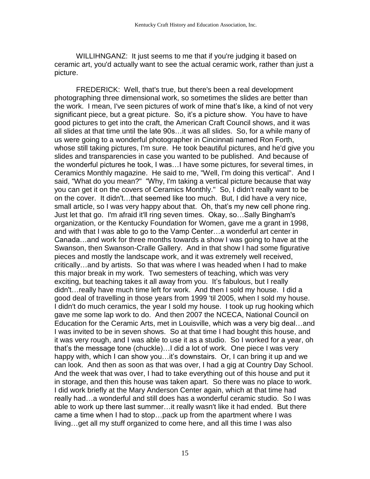WILLIHNGANZ: It just seems to me that if you're judging it based on ceramic art, you'd actually want to see the actual ceramic work, rather than just a picture.

FREDERICK: Well, that's true, but there's been a real development photographing three dimensional work, so sometimes the slides are better than the work. I mean, I've seen pictures of work of mine that's like, a kind of not very significant piece, but a great picture. So, it's a picture show. You have to have good pictures to get into the craft, the American Craft Council shows, and it was all slides at that time until the late 90s…it was all slides. So, for a while many of us were going to a wonderful photographer in Cincinnati named Ron Forth, whose still taking pictures, I'm sure. He took beautiful pictures, and he'd give you slides and transparencies in case you wanted to be published. And because of the wonderful pictures he took, I was…I have some pictures, for several times, in Ceramics Monthly magazine. He said to me, "Well, I'm doing this vertical". And I said, "What do you mean?" "Why, I'm taking a vertical picture because that way you can get it on the covers of Ceramics Monthly." So, I didn't really want to be on the cover. It didn't…that seemed like too much. But, I did have a very nice, small article, so I was very happy about that. Oh, that's my new cell phone ring. Just let that go. I'm afraid it'll ring seven times. Okay, so…Sally Bingham's organization, or the Kentucky Foundation for Women, gave me a grant in 1998, and with that I was able to go to the Vamp Center…a wonderful art center in Canada…and work for three months towards a show I was going to have at the Swanson, then Swanson-Cralle Gallery. And in that show I had some figurative pieces and mostly the landscape work, and it was extremely well received, critically…and by artists. So that was where I was headed when I had to make this major break in my work. Two semesters of teaching, which was very exciting, but teaching takes it all away from you. It's fabulous, but I really didn't…really have much time left for work. And then I sold my house. I did a good deal of travelling in those years from 1999 'til 2005, when I sold my house. I didn't do much ceramics, the year I sold my house. I took up rug hooking which gave me some lap work to do. And then 2007 the NCECA, National Council on Education for the Ceramic Arts, met in Louisville, which was a very big deal…and I was invited to be in seven shows. So at that time I had bought this house, and it was very rough, and I was able to use it as a studio. So I worked for a year, oh that's the message tone (chuckle)…I did a lot of work. One piece I was very happy with, which I can show you...it's downstairs. Or, I can bring it up and we can look. And then as soon as that was over, I had a gig at Country Day School. And the week that was over, I had to take everything out of this house and put it in storage, and then this house was taken apart. So there was no place to work. I did work briefly at the Mary Anderson Center again, which at that time had really had…a wonderful and still does has a wonderful ceramic studio. So I was able to work up there last summer…it really wasn't like it had ended. But there came a time when I had to stop…pack up from the apartment where I was living…get all my stuff organized to come here, and all this time I was also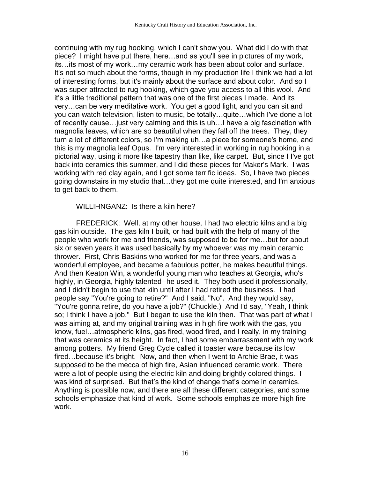continuing with my rug hooking, which I can't show you. What did I do with that piece? I might have put there, here…and as you'll see in pictures of my work, its…its most of my work…my ceramic work has been about color and surface. It's not so much about the forms, though in my production life I think we had a lot of interesting forms, but it's mainly about the surface and about color. And so I was super attracted to rug hooking, which gave you access to all this wool. And it's a little traditional pattern that was one of the first pieces I made. And its very…can be very meditative work. You get a good light, and you can sit and you can watch television, listen to music, be totally…quite…which I've done a lot of recently cause…just very calming and this is uh…I have a big fascination with magnolia leaves, which are so beautiful when they fall off the trees. They, they turn a lot of different colors, so I'm making uh…a piece for someone's home, and this is my magnolia leaf Opus. I'm very interested in working in rug hooking in a pictorial way, using it more like tapestry than like, like carpet. But, since I I've got back into ceramics this summer, and I did these pieces for Maker's Mark. I was working with red clay again, and I got some terrific ideas. So, I have two pieces going downstairs in my studio that…they got me quite interested, and I'm anxious to get back to them.

### WILLIHNGANZ: Is there a kiln here?

FREDERICK: Well, at my other house, I had two electric kilns and a big gas kiln outside. The gas kiln I built, or had built with the help of many of the people who work for me and friends, was supposed to be for me…but for about six or seven years it was used basically by my whoever was my main ceramic thrower. First, Chris Baskins who worked for me for three years, and was a wonderful employee, and became a fabulous potter, he makes beautiful things. And then Keaton Win, a wonderful young man who teaches at Georgia, who's highly, in Georgia, highly talented--he used it. They both used it professionally, and I didn't begin to use that kiln until after I had retired the business. I had people say "You're going to retire?" And I said, "No". And they would say, "You're gonna retire, do you have a job?" (Chuckle.) And I'd say, "Yeah, I think so; I think I have a job." But I began to use the kiln then. That was part of what I was aiming at, and my original training was in high fire work with the gas, you know, fuel…atmospheric kilns, gas fired, wood fired, and I really, in my training that was ceramics at its height. In fact, I had some embarrassment with my work among potters. My friend Greg Cycle called it toaster ware because its low fired…because it's bright. Now, and then when I went to Archie Brae, it was supposed to be the mecca of high fire, Asian influenced ceramic work. There were a lot of people using the electric kiln and doing brightly colored things. I was kind of surprised. But that's the kind of change that's come in ceramics. Anything is possible now, and there are all these different categories, and some schools emphasize that kind of work. Some schools emphasize more high fire work.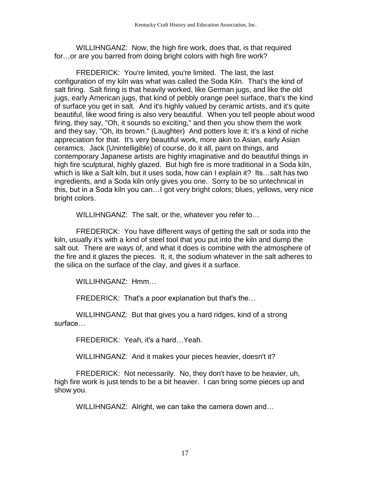WILLIHNGANZ: Now, the high fire work, does that, is that required for…or are you barred from doing bright colors with high fire work?

FREDERICK: You're limited, you're limited. The last, the last configuration of my kiln was what was called the Soda Kiln. That's the kind of salt firing. Salt firing is that heavily worked, like German jugs, and like the old jugs, early American jugs, that kind of pebbly orange peel surface, that's the kind of surface you get in salt. And it's highly valued by ceramic artists, and it's quite beautiful, like wood firing is also very beautiful. When you tell people about wood firing, they say, "Oh, it sounds so exciting," and then you show them the work and they say, "Oh, its brown." (Laughter) And potters love it; it's a kind of niche appreciation for that. It's very beautiful work, more akin to Asian, early Asian ceramics. Jack (Unintelligible) of course, do it all, paint on things, and contemporary Japanese artists are highly imaginative and do beautiful things in high fire sculptural, highly glazed. But high fire is more traditional in a Soda kiln, which is like a Salt kiln, but it uses soda, how can I explain it? Its…salt has two ingredients, and a Soda kiln only gives you one. Sorry to be so untechnical in this, but in a Soda kiln you can…I got very bright colors; blues, yellows, very nice bright colors.

WILLIHNGANZ: The salt, or the, whatever you refer to…

FREDERICK: You have different ways of getting the salt or soda into the kiln, usually it's with a kind of steel tool that you put into the kiln and dump the salt out. There are ways of, and what it does is combine with the atmosphere of the fire and it glazes the pieces. It, it, the sodium whatever in the salt adheres to the silica on the surface of the clay, and gives it a surface.

WILLIHNGANZ: Hmm…

FREDERICK: That's a poor explanation but that's the…

WILLIHNGANZ: But that gives you a hard ridges, kind of a strong surface…

FREDERICK: Yeah, it's a hard…Yeah.

WILLIHNGANZ: And it makes your pieces heavier, doesn't it?

FREDERICK: Not necessarily. No, they don't have to be heavier, uh, high fire work is just tends to be a bit heavier. I can bring some pieces up and show you.

WILLIHNGANZ: Alright, we can take the camera down and…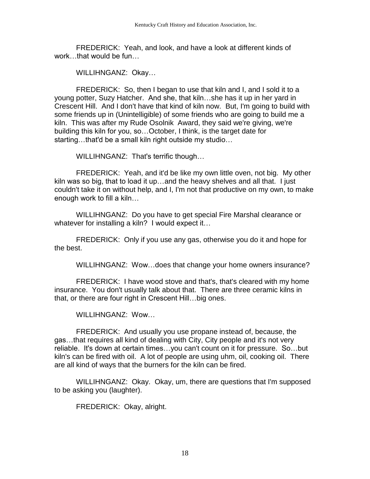FREDERICK: Yeah, and look, and have a look at different kinds of work that would be fun

WILLIHNGANZ: Okay…

FREDERICK: So, then I began to use that kiln and I, and I sold it to a young potter, Suzy Hatcher. And she, that kiln…she has it up in her yard in Crescent Hill. And I don't have that kind of kiln now. But, I'm going to build with some friends up in (Unintelligible) of some friends who are going to build me a kiln. This was after my Rude Osolnik Award, they said we're giving, we're building this kiln for you, so…October, I think, is the target date for starting…that'd be a small kiln right outside my studio…

WILLIHNGANZ: That's terrific though…

FREDERICK: Yeah, and it'd be like my own little oven, not big. My other kiln was so big, that to load it up…and the heavy shelves and all that. I just couldn't take it on without help, and I, I'm not that productive on my own, to make enough work to fill a kiln…

WILLIHNGANZ: Do you have to get special Fire Marshal clearance or whatever for installing a kiln? I would expect it...

FREDERICK: Only if you use any gas, otherwise you do it and hope for the best.

WILLIHNGANZ: Wow…does that change your home owners insurance?

FREDERICK: I have wood stove and that's, that's cleared with my home insurance. You don't usually talk about that. There are three ceramic kilns in that, or there are four right in Crescent Hill…big ones.

WILLIHNGANZ: Wow…

FREDERICK: And usually you use propane instead of, because, the gas…that requires all kind of dealing with City, City people and it's not very reliable. It's down at certain times…you can't count on it for pressure. So…but kiln's can be fired with oil. A lot of people are using uhm, oil, cooking oil. There are all kind of ways that the burners for the kiln can be fired.

WILLIHNGANZ: Okay. Okay, um, there are questions that I'm supposed to be asking you (laughter).

FREDERICK: Okay, alright.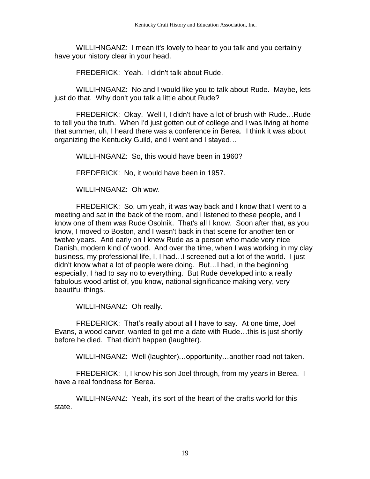WILLIHNGANZ: I mean it's lovely to hear to you talk and you certainly have your history clear in your head.

FREDERICK: Yeah. I didn't talk about Rude.

WILLIHNGANZ: No and I would like you to talk about Rude. Maybe, lets just do that. Why don't you talk a little about Rude?

FREDERICK: Okay. Well I, I didn't have a lot of brush with Rude…Rude to tell you the truth. When I'd just gotten out of college and I was living at home that summer, uh, I heard there was a conference in Berea. I think it was about organizing the Kentucky Guild, and I went and I stayed…

WILLIHNGANZ: So, this would have been in 1960?

FREDERICK: No, it would have been in 1957.

WILLIHNGANZ: Oh wow.

FREDERICK: So, um yeah, it was way back and I know that I went to a meeting and sat in the back of the room, and I listened to these people, and I know one of them was Rude Osolnik. That's all I know. Soon after that, as you know, I moved to Boston, and I wasn't back in that scene for another ten or twelve years. And early on I knew Rude as a person who made very nice Danish, modern kind of wood. And over the time, when I was working in my clay business, my professional life, I, I had…I screened out a lot of the world. I just didn't know what a lot of people were doing. But…I had, in the beginning especially, I had to say no to everything. But Rude developed into a really fabulous wood artist of, you know, national significance making very, very beautiful things.

WILLIHNGANZ: Oh really.

FREDERICK: That's really about all I have to say. At one time, Joel Evans, a wood carver, wanted to get me a date with Rude…this is just shortly before he died. That didn't happen (laughter).

WILLIHNGANZ: Well (laughter)…opportunity…another road not taken.

FREDERICK: I, I know his son Joel through, from my years in Berea. I have a real fondness for Berea.

WILLIHNGANZ: Yeah, it's sort of the heart of the crafts world for this state.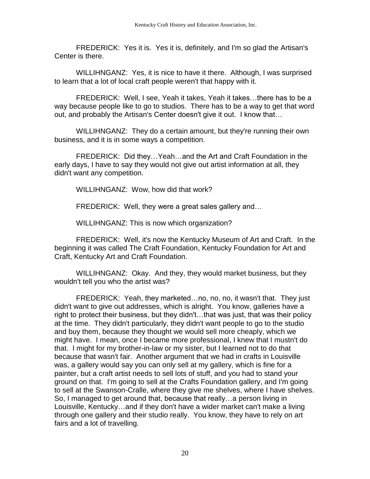FREDERICK: Yes it is. Yes it is, definitely, and I'm so glad the Artisan's Center is there.

WILLIHNGANZ: Yes, it is nice to have it there. Although, I was surprised to learn that a lot of local craft people weren't that happy with it.

FREDERICK: Well, I see, Yeah it takes, Yeah it takes…there has to be a way because people like to go to studios. There has to be a way to get that word out, and probably the Artisan's Center doesn't give it out. I know that…

WILLIHNGANZ: They do a certain amount, but they're running their own business, and it is in some ways a competition.

FREDERICK: Did they…Yeah…and the Art and Craft Foundation in the early days, I have to say they would not give out artist information at all, they didn't want any competition.

WILLIHNGANZ: Wow, how did that work?

FREDERICK: Well, they were a great sales gallery and…

WILLIHNGANZ: This is now which organization?

FREDERICK: Well, it's now the Kentucky Museum of Art and Craft. In the beginning it was called The Craft Foundation, Kentucky Foundation for Art and Craft, Kentucky Art and Craft Foundation.

WILLIHNGANZ: Okay. And they, they would market business, but they wouldn't tell you who the artist was?

FREDERICK: Yeah, they marketed…no, no, no, it wasn't that. They just didn't want to give out addresses, which is alright. You know, galleries have a right to protect their business, but they didn't…that was just, that was their policy at the time. They didn't particularly, they didn't want people to go to the studio and buy them, because they thought we would sell more cheaply, which we might have. I mean, once I became more professional, I knew that I mustn't do that. I might for my brother-in-law or my sister, but I learned not to do that because that wasn't fair. Another argument that we had in crafts in Louisville was, a gallery would say you can only sell at my gallery, which is fine for a painter, but a craft artist needs to sell lots of stuff, and you had to stand your ground on that. I'm going to sell at the Crafts Foundation gallery, and I'm going to sell at the Swanson-Cralle, where they give me shelves, where I have shelves. So, I managed to get around that, because that really…a person living in Louisville, Kentucky…and if they don't have a wider market can't make a living through one gallery and their studio really. You know, they have to rely on art fairs and a lot of travelling.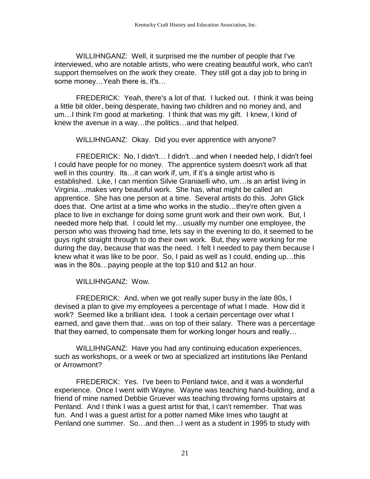WILLIHNGANZ: Well, it surprised me the number of people that I've interviewed, who are notable artists, who were creating beautiful work, who can't support themselves on the work they create. They still got a day job to bring in some money…Yeah there is, it's…

FREDERICK: Yeah, there's a lot of that. I lucked out. I think it was being a little bit older, being desperate, having two children and no money and, and um…I think I'm good at marketing. I think that was my gift. I knew, I kind of knew the avenue in a way…the politics…and that helped.

WILLIHNGANZ: Okay. Did you ever apprentice with anyone?

FREDERICK: No, I didn't… I didn't…and when I needed help, I didn't feel I could have people for no money. The apprentice system doesn't work all that well in this country. Its…it can work if, um, if it's a single artist who is established. Like, I can mention Silvie Graniaelli who, um…is an artist living in Virginia…makes very beautiful work. She has, what might be called an apprentice. She has one person at a time. Several artists do this. John Glick does that. One artist at a time who works in the studio…they're often given a place to live in exchange for doing some grunt work and their own work. But, I needed more help that. I could let my…usually my number one employee, the person who was throwing had time, lets say in the evening to do, it seemed to be guys right straight through to do their own work. But, they were working for me during the day, because that was the need. I felt I needed to pay them because I knew what it was like to be poor. So, I paid as well as I could, ending up…this was in the 80s…paying people at the top \$10 and \$12 an hour.

WILLIHNGANZ: Wow.

FREDERICK: And, when we got really super busy in the late 80s, I devised a plan to give my employees a percentage of what I made. How did it work? Seemed like a brilliant idea. I took a certain percentage over what I earned, and gave them that…was on top of their salary. There was a percentage that they earned, to compensate them for working longer hours and really…

WILLIHNGANZ: Have you had any continuing education experiences, such as workshops, or a week or two at specialized art institutions like Penland or Arrowmont?

FREDERICK: Yes. I've been to Penland twice, and it was a wonderful experience. Once I went with Wayne. Wayne was teaching hand-building, and a friend of mine named Debbie Gruever was teaching throwing forms upstairs at Penland. And I think I was a guest artist for that, I can't remember. That was fun. And I was a guest artist for a potter named Mike Imes who taught at Penland one summer. So…and then…I went as a student in 1995 to study with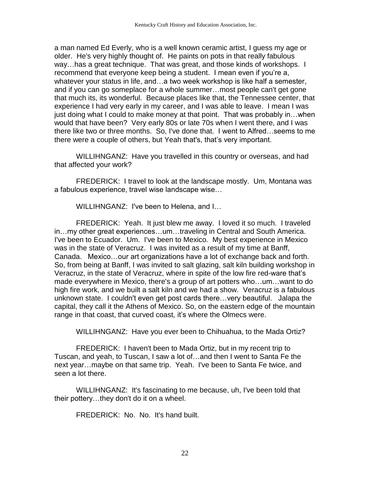a man named Ed Everly, who is a well known ceramic artist, I guess my age or older. He's very highly thought of. He paints on pots in that really fabulous way…has a great technique. That was great, and those kinds of workshops. I recommend that everyone keep being a student. I mean even if you're a, whatever your status in life, and…a two week workshop is like half a semester, and if you can go someplace for a whole summer…most people can't get gone that much its, its wonderful. Because places like that, the Tennessee center, that experience I had very early in my career, and I was able to leave. I mean I was just doing what I could to make money at that point. That was probably in…when would that have been? Very early 80s or late 70s when I went there, and I was there like two or three months. So, I've done that. I went to Alfred…seems to me there were a couple of others, but Yeah that's, that's very important.

WILLIHNGANZ: Have you travelled in this country or overseas, and had that affected your work?

FREDERICK: I travel to look at the landscape mostly. Um, Montana was a fabulous experience, travel wise landscape wise…

WILLIHNGANZ: I've been to Helena, and I…

FREDERICK: Yeah. It just blew me away. I loved it so much. I traveled in…my other great experiences…um…traveling in Central and South America. I've been to Ecuador. Um. I've been to Mexico. My best experience in Mexico was in the state of Veracruz. I was invited as a result of my time at Banff, Canada. Mexico…our art organizations have a lot of exchange back and forth. So, from being at Banff, I was invited to salt glazing, salt kiln building workshop in Veracruz, in the state of Veracruz, where in spite of the low fire red-ware that's made everywhere in Mexico, there's a group of art potters who…um…want to do high fire work, and we built a salt kiln and we had a show. Veracruz is a fabulous unknown state. I couldn't even get post cards there…very beautiful. Jalapa the capital, they call it the Athens of Mexico. So, on the eastern edge of the mountain range in that coast, that curved coast, it's where the Olmecs were.

WILLIHNGANZ: Have you ever been to Chihuahua, to the Mada Ortiz?

FREDERICK: I haven't been to Mada Ortiz, but in my recent trip to Tuscan, and yeah, to Tuscan, I saw a lot of…and then I went to Santa Fe the next year…maybe on that same trip. Yeah. I've been to Santa Fe twice, and seen a lot there.

WILLIHNGANZ: It's fascinating to me because, uh, I've been told that their pottery…they don't do it on a wheel.

FREDERICK: No. No. It's hand built.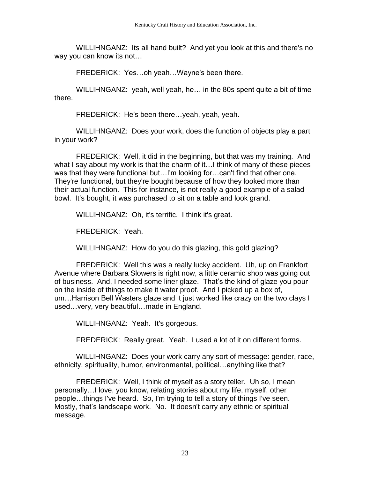WILLIHNGANZ: Its all hand built? And yet you look at this and there's no way you can know its not…

FREDERICK: Yes…oh yeah…Wayne's been there.

WILLIHNGANZ: yeah, well yeah, he… in the 80s spent quite a bit of time there.

FREDERICK: He's been there…yeah, yeah, yeah.

WILLIHNGANZ: Does your work, does the function of objects play a part in your work?

FREDERICK: Well, it did in the beginning, but that was my training. And what I say about my work is that the charm of it…I think of many of these pieces was that they were functional but…I'm looking for…can't find that other one. They're functional, but they're bought because of how they looked more than their actual function. This for instance, is not really a good example of a salad bowl. It's bought, it was purchased to sit on a table and look grand.

WILLIHNGANZ: Oh, it's terrific. I think it's great.

FREDERICK: Yeah.

WILLIHNGANZ: How do you do this glazing, this gold glazing?

FREDERICK: Well this was a really lucky accident. Uh, up on Frankfort Avenue where Barbara Slowers is right now, a little ceramic shop was going out of business. And, I needed some liner glaze. That's the kind of glaze you pour on the inside of things to make it water proof. And I picked up a box of, um…Harrison Bell Wasters glaze and it just worked like crazy on the two clays I used…very, very beautiful…made in England.

WILLIHNGANZ: Yeah. It's gorgeous.

FREDERICK: Really great. Yeah. I used a lot of it on different forms.

WILLIHNGANZ: Does your work carry any sort of message: gender, race, ethnicity, spirituality, humor, environmental, political…anything like that?

FREDERICK: Well, I think of myself as a story teller. Uh so, I mean personally…I love, you know, relating stories about my life, myself, other people…things I've heard. So, I'm trying to tell a story of things I've seen. Mostly, that's landscape work. No. It doesn't carry any ethnic or spiritual message.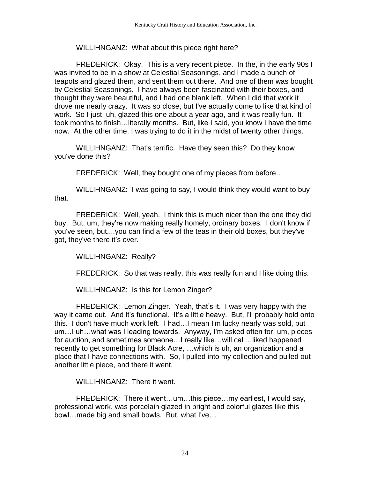# WILLIHNGANZ: What about this piece right here?

FREDERICK: Okay. This is a very recent piece. In the, in the early 90s I was invited to be in a show at Celestial Seasonings, and I made a bunch of teapots and glazed them, and sent them out there. And one of them was bought by Celestial Seasonings. I have always been fascinated with their boxes, and thought they were beautiful, and I had one blank left. When I did that work it drove me nearly crazy. It was so close, but I've actually come to like that kind of work. So I just, uh, glazed this one about a year ago, and it was really fun. It took months to finish…literally months. But, like I said, you know I have the time now. At the other time, I was trying to do it in the midst of twenty other things.

WILLIHNGANZ: That's terrific. Have they seen this? Do they know you've done this?

FREDERICK: Well, they bought one of my pieces from before…

WILLIHNGANZ: I was going to say, I would think they would want to buy that.

FREDERICK: Well, yeah. I think this is much nicer than the one they did buy. But, um, they're now making really homely, ordinary boxes. I don't know if you've seen, but....you can find a few of the teas in their old boxes, but they've got, they've there it's over.

WILLIHNGANZ: Really?

FREDERICK: So that was really, this was really fun and I like doing this.

WILLIHNGANZ: Is this for Lemon Zinger?

FREDERICK: Lemon Zinger. Yeah, that's it. I was very happy with the way it came out. And it's functional. It's a little heavy. But, I'll probably hold onto this. I don't have much work left. I had…I mean I'm lucky nearly was sold, but um…I uh…what was I leading towards. Anyway, I'm asked often for, um, pieces for auction, and sometimes someone…I really like…will call…liked happened recently to get something for Black Acre, …which is uh, an organization and a place that I have connections with. So, I pulled into my collection and pulled out another little piece, and there it went.

WILLIHNGANZ: There it went.

FREDERICK: There it went…um…this piece…my earliest, I would say, professional work, was porcelain glazed in bright and colorful glazes like this bowl…made big and small bowls. But, what I've…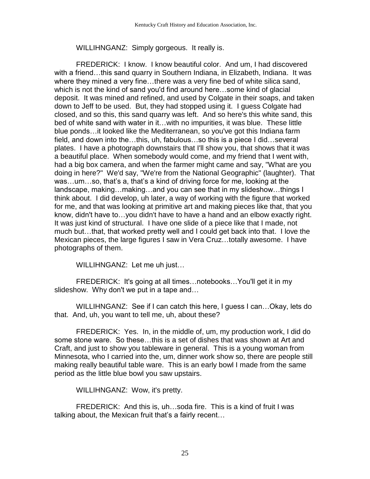WILLIHNGANZ: Simply gorgeous. It really is.

FREDERICK: I know. I know beautiful color. And um, I had discovered with a friend…this sand quarry in Southern Indiana, in Elizabeth, Indiana. It was where they mined a very fine…there was a very fine bed of white silica sand, which is not the kind of sand you'd find around here…some kind of glacial deposit. It was mined and refined, and used by Colgate in their soaps, and taken down to Jeff to be used. But, they had stopped using it. I guess Colgate had closed, and so this, this sand quarry was left. And so here's this white sand, this bed of white sand with water in it…with no impurities, it was blue. These little blue ponds…it looked like the Mediterranean, so you've got this Indiana farm field, and down into the…this, uh, fabulous…so this is a piece I did…several plates. I have a photograph downstairs that I'll show you, that shows that it was a beautiful place. When somebody would come, and my friend that I went with, had a big box camera, and when the farmer might came and say, "What are you doing in here?" We'd say, "We're from the National Geographic" (laughter). That was…um…so, that's a, that's a kind of driving force for me, looking at the landscape, making…making…and you can see that in my slideshow…things I think about. I did develop, uh later, a way of working with the figure that worked for me, and that was looking at primitive art and making pieces like that, that you know, didn't have to…you didn't have to have a hand and an elbow exactly right. It was just kind of structural. I have one slide of a piece like that I made, not much but…that, that worked pretty well and I could get back into that. I love the Mexican pieces, the large figures I saw in Vera Cruz…totally awesome. I have photographs of them.

WILLIHNGANZ: Let me uh just…

FREDERICK: It's going at all times…notebooks…You'll get it in my slideshow. Why don't we put in a tape and…

WILLIHNGANZ: See if I can catch this here, I guess I can…Okay, lets do that. And, uh, you want to tell me, uh, about these?

FREDERICK: Yes. In, in the middle of, um, my production work, I did do some stone ware. So these…this is a set of dishes that was shown at Art and Craft, and just to show you tableware in general. This is a young woman from Minnesota, who I carried into the, um, dinner work show so, there are people still making really beautiful table ware. This is an early bowl I made from the same period as the little blue bowl you saw upstairs.

WILLIHNGANZ: Wow, it's pretty.

FREDERICK: And this is, uh…soda fire. This is a kind of fruit I was talking about, the Mexican fruit that's a fairly recent…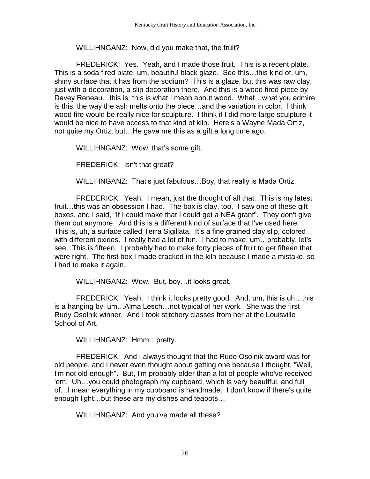### WILLIHNGANZ: Now, did you make that, the fruit?

FREDERICK: Yes. Yeah, and I made those fruit. This is a recent plate. This is a soda fired plate, um, beautiful black glaze. See this…this kind of, um, shiny surface that it has from the sodium? This is a glaze, but this was raw clay, just with a decoration, a slip decoration there. And this is a wood fired piece by Davey Reneau…this is, this is what I mean about wood. What…what you admire is this, the way the ash melts onto the piece…and the variation in color. I think wood fire would be really nice for sculpture. I think if I did more large sculpture it would be nice to have access to that kind of kiln. Here's a Wayne Mada Ortiz, not quite my Ortiz, but…He gave me this as a gift a long time ago.

WILLIHNGANZ: Wow, that's some gift.

FREDERICK: Isn't that great?

WILLIHNGANZ: That's just fabulous…Boy, that really is Mada Ortiz.

FREDERICK: Yeah. I mean, just the thought of all that. This is my latest fruit…this was an obsession I had. The box is clay, too. I saw one of these gift boxes, and I said, "If I could make that I could get a NEA grant". They don't give them out anymore. And this is a different kind of surface that I've used here. This is, uh, a surface called Terra Sigillata. It's a fine grained clay slip, colored with different oxides. I really had a lot of fun. I had to make, um…probably, let's see. This is fifteen. I probably had to make forty pieces of fruit to get fifteen that were right. The first box I made cracked in the kiln because I made a mistake, so I had to make it again.

WILLIHNGANZ: Wow. But, boy…it looks great.

FREDERICK: Yeah. I think it looks pretty good. And, um, this is uh…this is a hanging by, um…Alma Lesch…not typical of her work. She was the first Rudy Osolnik winner. And I took stitchery classes from her at the Louisville School of Art.

WILLIHNGANZ: Hmm…pretty.

FREDERICK: And I always thought that the Rude Osolnik award was for old people, and I never even thought about getting one because I thought, "Well, I'm not old enough". But, I'm probably older than a lot of people who've received 'em. Uh…you could photograph my cupboard, which is very beautiful, and full of…I mean everything in my cupboard is handmade. I don't know if there's quite enough light…but these are my dishes and teapots…

WILLIHNGANZ: And you've made all these?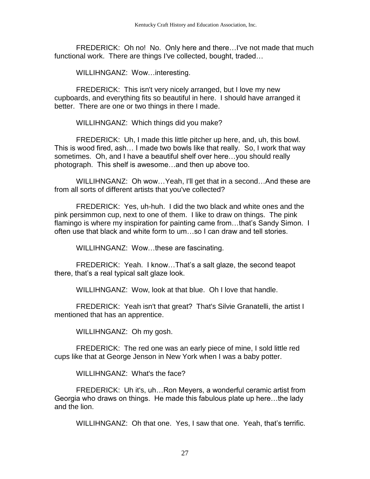FREDERICK: Oh no! No. Only here and there…I've not made that much functional work. There are things I've collected, bought, traded…

WILLIHNGANZ: Wow…interesting.

FREDERICK: This isn't very nicely arranged, but I love my new cupboards, and everything fits so beautiful in here. I should have arranged it better. There are one or two things in there I made.

WILLIHNGANZ: Which things did you make?

FREDERICK: Uh, I made this little pitcher up here, and, uh, this bowl. This is wood fired, ash… I made two bowls like that really. So, I work that way sometimes. Oh, and I have a beautiful shelf over here…you should really photograph. This shelf is awesome…and then up above too.

WILLIHNGANZ: Oh wow...Yeah, I'll get that in a second...And these are from all sorts of different artists that you've collected?

FREDERICK: Yes, uh-huh. I did the two black and white ones and the pink persimmon cup, next to one of them. I like to draw on things. The pink flamingo is where my inspiration for painting came from…that's Sandy Simon. I often use that black and white form to um…so I can draw and tell stories.

WILLIHNGANZ: Wow…these are fascinating.

FREDERICK: Yeah. I know…That's a salt glaze, the second teapot there, that's a real typical salt glaze look.

WILLIHNGANZ: Wow, look at that blue. Oh I love that handle.

FREDERICK: Yeah isn't that great? That's Silvie Granatelli, the artist I mentioned that has an apprentice.

WILLIHNGANZ: Oh my gosh.

FREDERICK: The red one was an early piece of mine, I sold little red cups like that at George Jenson in New York when I was a baby potter.

WILLIHNGANZ: What's the face?

FREDERICK: Uh it's, uh…Ron Meyers, a wonderful ceramic artist from Georgia who draws on things. He made this fabulous plate up here…the lady and the lion.

WILLIHNGANZ: Oh that one. Yes, I saw that one. Yeah, that's terrific.